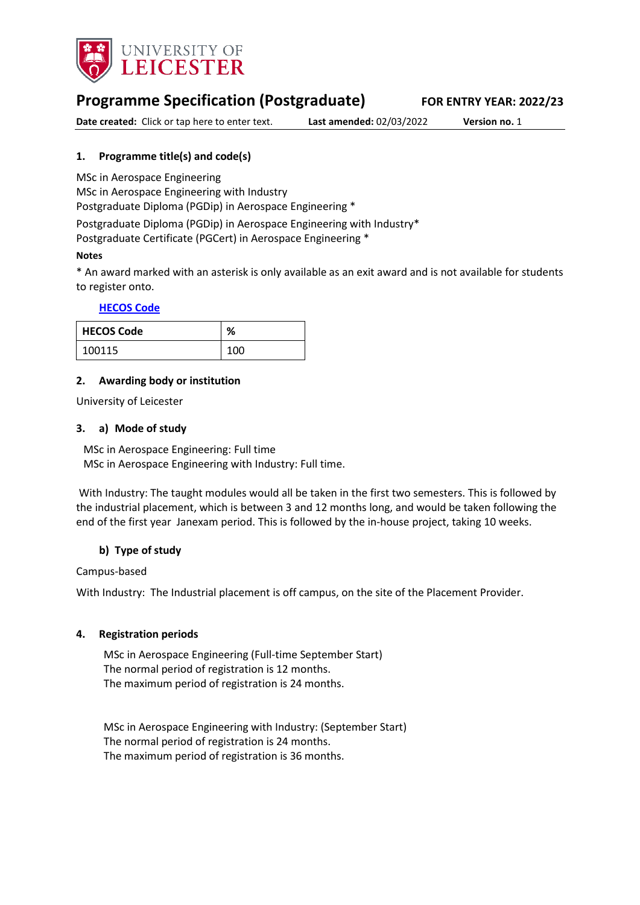

# **Programme Specification (Postgraduate) FOR ENTRY YEAR: 2022/23**

**Date created:** Click or tap here to enter text. **Last amended:** 02/03/2022 **Version no.** 1

## <span id="page-0-0"></span>**1. Programme title(s) and code(s)**

MSc in Aerospace Engineering

MSc in Aerospace Engineering with Industry

Postgraduate Diploma (PGDip) in Aerospace Engineering \*

Postgraduate Diploma (PGDip) in Aerospace Engineering with Industry\* Postgraduate Certificate (PGCert) in Aerospace Engineering \*

### **Notes**

\* An award marked with an asterisk is only available as an exit award and is not available for students to register onto.

### **[HECOS Code](https://www.hesa.ac.uk/innovation/hecos)**

| <b>HECOS Code</b> | %   |
|-------------------|-----|
| 100115            | 100 |

### **2. Awarding body or institution**

University of Leicester

### **3. a) Mode of study**

MSc in Aerospace Engineering: Full time MSc in Aerospace Engineering with Industry: Full time.

With Industry: The taught modules would all be taken in the first two semesters. This is followed by the industrial placement, which is between 3 and 12 months long, and would be taken following the end of the first year Janexam period. This is followed by the in-house project, taking 10 weeks.

## **b) Type of study**

Campus-based

With Industry: The Industrial placement is off campus, on the site of the Placement Provider.

### **4. Registration periods**

MSc in Aerospace Engineering (Full-time September Start) The normal period of registration is 12 months. The maximum period of registration is 24 months.

MSc in Aerospace Engineering with Industry: (September Start) The normal period of registration is 24 months. The maximum period of registration is 36 months.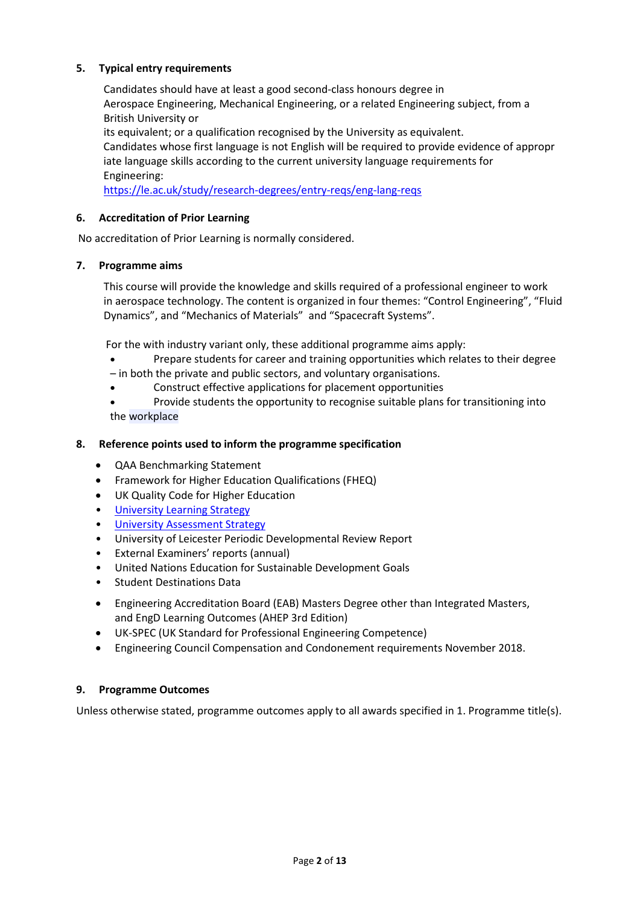### **5. Typical entry requirements**

Candidates should have at least a good second-class honours degree in Aerospace Engineering, Mechanical Engineering, or a related Engineering subject, from a British University or its equivalent; or a qualification recognised by the University as equivalent.

Candidates whose first language is not English will be required to provide evidence of appropr iate language skills according to the current university language requirements for Engineering:

<https://le.ac.uk/study/research-degrees/entry-reqs/eng-lang-reqs>

### **6. Accreditation of Prior Learning**

No accreditation of Prior Learning is normally considered.

### **7. Programme aims**

This course will provide the knowledge and skills required of a professional engineer to work in aerospace technology. The content is organized in four themes: "Control Engineering", "Fluid Dynamics", and "Mechanics of Materials" and "Spacecraft Systems".

For the with industry variant only, these additional programme aims apply:

- Prepare students for career and training opportunities which relates to their degree
- in both the private and public sectors, and voluntary organisations.
- Construct effective applications for placement opportunities
- Provide students the opportunity to recognise suitable plans for transitioning into the workplace

### **8. Reference points used to inform the programme specification**

- QAA Benchmarking Statement
- Framework for Higher Education Qualifications (FHEQ)
- UK Quality Code for Higher Education
- [University Learning](https://www2.le.ac.uk/offices/sas2/quality/learnteach) Strategy
- [University Assessment Strategy](https://www2.le.ac.uk/offices/sas2/quality/learnteach)
- University of Leicester Periodic Developmental Review Report
- External Examiners' reports (annual)
- United Nations Education for Sustainable Development Goals
- Student Destinations Data
- Engineering Accreditation Board (EAB) Masters Degree other than Integrated Masters, and EngD Learning Outcomes (AHEP 3rd Edition)
- UK-SPEC (UK Standard for Professional Engineering Competence)
- Engineering Council Compensation and Condonement requirements November 2018.

### **9. Programme Outcomes**

Unless otherwise stated, programme outcomes apply to all awards specified in [1.](#page-0-0) Programme title(s).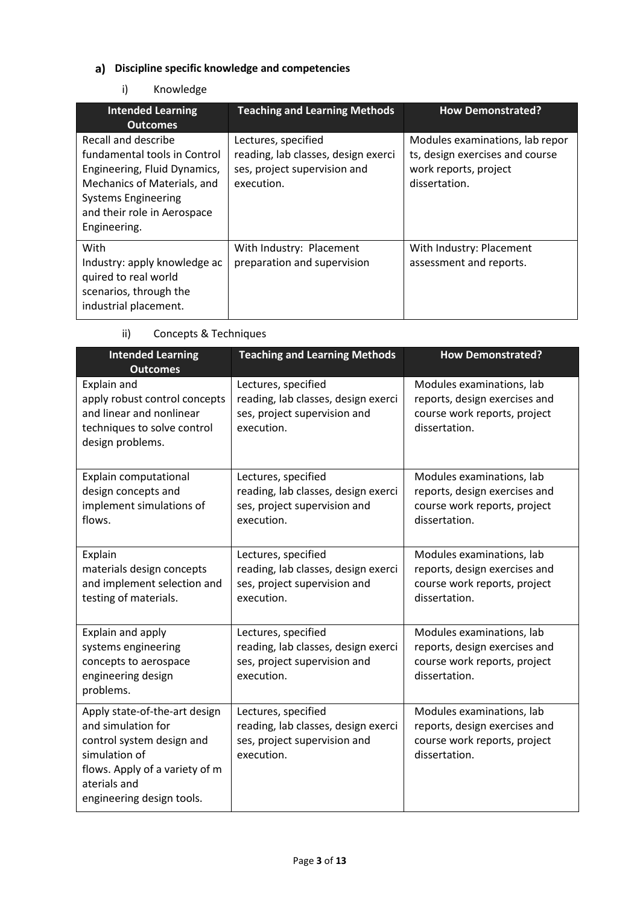# **Discipline specific knowledge and competencies**

## i) Knowledge

| <b>Intended Learning</b><br><b>Outcomes</b>                                                                                                                                                     | <b>Teaching and Learning Methods</b>                                                                     | <b>How Demonstrated?</b>                                                                                     |
|-------------------------------------------------------------------------------------------------------------------------------------------------------------------------------------------------|----------------------------------------------------------------------------------------------------------|--------------------------------------------------------------------------------------------------------------|
| Recall and describe<br>fundamental tools in Control<br>Engineering, Fluid Dynamics,<br>Mechanics of Materials, and<br><b>Systems Engineering</b><br>and their role in Aerospace<br>Engineering. | Lectures, specified<br>reading, lab classes, design exerci<br>ses, project supervision and<br>execution. | Modules examinations, lab repor<br>ts, design exercises and course<br>work reports, project<br>dissertation. |
| With<br>Industry: apply knowledge ac<br>quired to real world<br>scenarios, through the<br>industrial placement.                                                                                 | With Industry: Placement<br>preparation and supervision                                                  | With Industry: Placement<br>assessment and reports.                                                          |

# ii) Concepts & Techniques

| <b>Intended Learning</b><br><b>Outcomes</b>                                                                                                                                      | <b>Teaching and Learning Methods</b>                                                                     | <b>How Demonstrated?</b>                                                                                    |
|----------------------------------------------------------------------------------------------------------------------------------------------------------------------------------|----------------------------------------------------------------------------------------------------------|-------------------------------------------------------------------------------------------------------------|
| Explain and<br>apply robust control concepts<br>and linear and nonlinear<br>techniques to solve control<br>design problems.                                                      | Lectures, specified<br>reading, lab classes, design exerci<br>ses, project supervision and<br>execution. | Modules examinations, lab<br>reports, design exercises and<br>course work reports, project<br>dissertation. |
| Explain computational<br>design concepts and<br>implement simulations of<br>flows.                                                                                               | Lectures, specified<br>reading, lab classes, design exerci<br>ses, project supervision and<br>execution. | Modules examinations, lab<br>reports, design exercises and<br>course work reports, project<br>dissertation. |
| Explain<br>materials design concepts<br>and implement selection and<br>testing of materials.                                                                                     | Lectures, specified<br>reading, lab classes, design exerci<br>ses, project supervision and<br>execution. | Modules examinations, lab<br>reports, design exercises and<br>course work reports, project<br>dissertation. |
| Explain and apply<br>systems engineering<br>concepts to aerospace<br>engineering design<br>problems.                                                                             | Lectures, specified<br>reading, lab classes, design exerci<br>ses, project supervision and<br>execution. | Modules examinations, lab<br>reports, design exercises and<br>course work reports, project<br>dissertation. |
| Apply state-of-the-art design<br>and simulation for<br>control system design and<br>simulation of<br>flows. Apply of a variety of m<br>aterials and<br>engineering design tools. | Lectures, specified<br>reading, lab classes, design exerci<br>ses, project supervision and<br>execution. | Modules examinations, lab<br>reports, design exercises and<br>course work reports, project<br>dissertation. |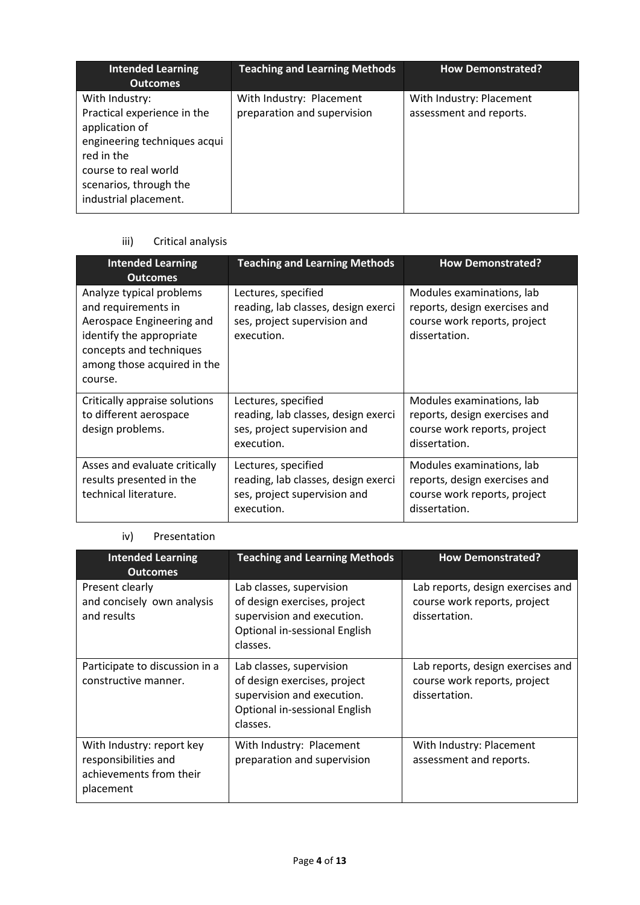| <b>Intended Learning</b><br><b>Outcomes</b>                                                                                                                                              | <b>Teaching and Learning Methods</b>                    | <b>How Demonstrated?</b>                            |
|------------------------------------------------------------------------------------------------------------------------------------------------------------------------------------------|---------------------------------------------------------|-----------------------------------------------------|
| With Industry:<br>Practical experience in the<br>application of<br>engineering techniques acqui<br>red in the<br>course to real world<br>scenarios, through the<br>industrial placement. | With Industry: Placement<br>preparation and supervision | With Industry: Placement<br>assessment and reports. |

# iii) Critical analysis

| <b>Intended Learning</b><br><b>Outcomes</b>                                                                                                                                   | <b>Teaching and Learning Methods</b>                                                                     | <b>How Demonstrated?</b>                                                                                    |
|-------------------------------------------------------------------------------------------------------------------------------------------------------------------------------|----------------------------------------------------------------------------------------------------------|-------------------------------------------------------------------------------------------------------------|
| Analyze typical problems<br>and requirements in<br>Aerospace Engineering and<br>identify the appropriate<br>concepts and techniques<br>among those acquired in the<br>course. | Lectures, specified<br>reading, lab classes, design exerci<br>ses, project supervision and<br>execution. | Modules examinations, lab<br>reports, design exercises and<br>course work reports, project<br>dissertation. |
| Critically appraise solutions<br>to different aerospace<br>design problems.                                                                                                   | Lectures, specified<br>reading, lab classes, design exerci<br>ses, project supervision and<br>execution. | Modules examinations, lab<br>reports, design exercises and<br>course work reports, project<br>dissertation. |
| Asses and evaluate critically<br>results presented in the<br>technical literature.                                                                                            | Lectures, specified<br>reading, lab classes, design exerci<br>ses, project supervision and<br>execution. | Modules examinations, lab<br>reports, design exercises and<br>course work reports, project<br>dissertation. |

## iv) Presentation

| <b>Intended Learning</b><br><b>Outcomes</b>                                               | <b>Teaching and Learning Methods</b>                                                                                                | <b>How Demonstrated?</b>                                                           |
|-------------------------------------------------------------------------------------------|-------------------------------------------------------------------------------------------------------------------------------------|------------------------------------------------------------------------------------|
| Present clearly<br>and concisely own analysis<br>and results                              | Lab classes, supervision<br>of design exercises, project<br>supervision and execution.<br>Optional in-sessional English<br>classes. | Lab reports, design exercises and<br>course work reports, project<br>dissertation. |
| Participate to discussion in a<br>constructive manner.                                    | Lab classes, supervision<br>of design exercises, project<br>supervision and execution.<br>Optional in-sessional English<br>classes. | Lab reports, design exercises and<br>course work reports, project<br>dissertation. |
| With Industry: report key<br>responsibilities and<br>achievements from their<br>placement | With Industry: Placement<br>preparation and supervision                                                                             | With Industry: Placement<br>assessment and reports.                                |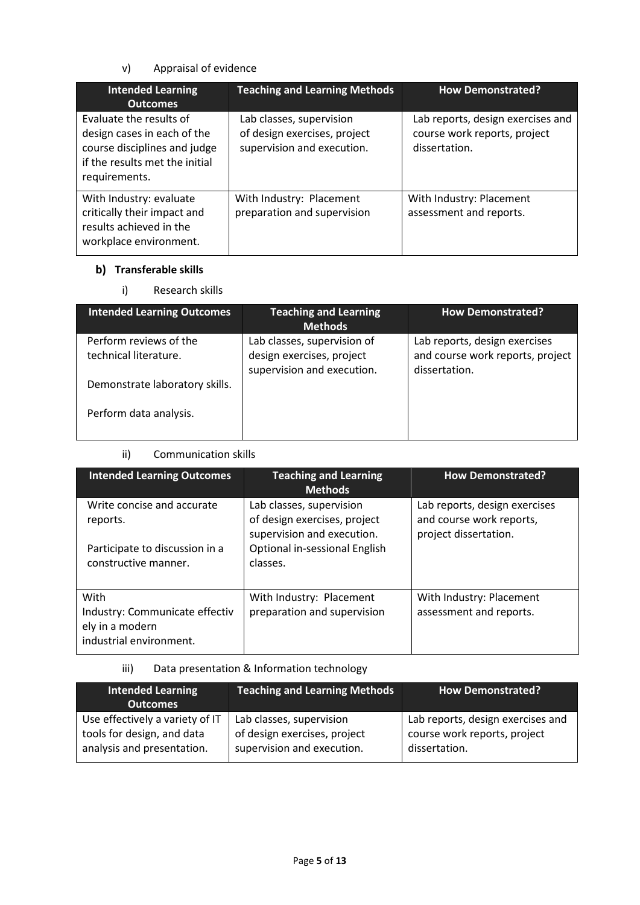## v) Appraisal of evidence

| <b>Intended Learning</b><br><b>Outcomes</b>                                                                                               | <b>Teaching and Learning Methods</b>                                                   | <b>How Demonstrated?</b>                                                           |
|-------------------------------------------------------------------------------------------------------------------------------------------|----------------------------------------------------------------------------------------|------------------------------------------------------------------------------------|
| Evaluate the results of<br>design cases in each of the<br>course disciplines and judge<br>if the results met the initial<br>requirements. | Lab classes, supervision<br>of design exercises, project<br>supervision and execution. | Lab reports, design exercises and<br>course work reports, project<br>dissertation. |
| With Industry: evaluate<br>critically their impact and<br>results achieved in the<br>workplace environment.                               | With Industry: Placement<br>preparation and supervision                                | With Industry: Placement<br>assessment and reports.                                |

# **b)** Transferable skills

i) Research skills

| <b>Intended Learning Outcomes</b>               | <b>Teaching and Learning</b><br><b>Methods</b>                                         | <b>How Demonstrated?</b>                                                           |
|-------------------------------------------------|----------------------------------------------------------------------------------------|------------------------------------------------------------------------------------|
| Perform reviews of the<br>technical literature. | Lab classes, supervision of<br>design exercises, project<br>supervision and execution. | Lab reports, design exercises<br>and course work reports, project<br>dissertation. |
| Demonstrate laboratory skills.                  |                                                                                        |                                                                                    |
| Perform data analysis.                          |                                                                                        |                                                                                    |

## ii) Communication skills

| <b>Intended Learning Outcomes</b>                                                    | <b>Teaching and Learning</b><br><b>Methods</b>                                         | <b>How Demonstrated?</b>                                                           |
|--------------------------------------------------------------------------------------|----------------------------------------------------------------------------------------|------------------------------------------------------------------------------------|
| Write concise and accurate<br>reports.                                               | Lab classes, supervision<br>of design exercises, project<br>supervision and execution. | Lab reports, design exercises<br>and course work reports,<br>project dissertation. |
| Participate to discussion in a<br>constructive manner.                               | Optional in-sessional English<br>classes.                                              |                                                                                    |
| With<br>Industry: Communicate effectiv<br>ely in a modern<br>industrial environment. | With Industry: Placement<br>preparation and supervision                                | With Industry: Placement<br>assessment and reports.                                |

# iii) Data presentation & Information technology

| <b>Intended Learning</b><br><b>Outcomes</b> | <b>Teaching and Learning Methods</b> | <b>How Demonstrated?</b>          |
|---------------------------------------------|--------------------------------------|-----------------------------------|
| Use effectively a variety of IT             | Lab classes, supervision             | Lab reports, design exercises and |
| tools for design, and data                  | of design exercises, project         | course work reports, project      |
| analysis and presentation.                  | supervision and execution.           | dissertation.                     |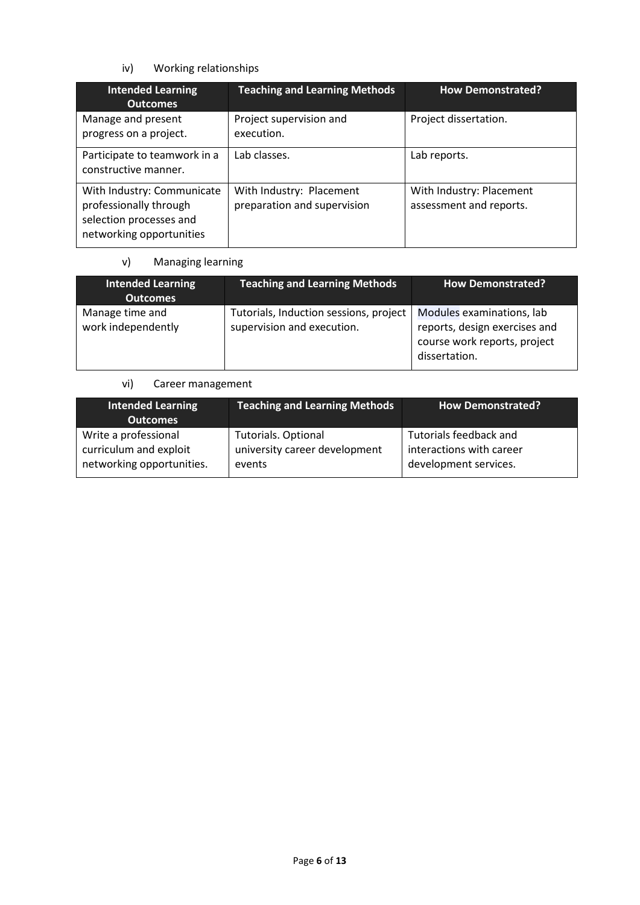# iv) Working relationships

| <b>Intended Learning</b><br><b>Outcomes</b>                                                                 | <b>Teaching and Learning Methods</b>                    | <b>How Demonstrated?</b>                            |
|-------------------------------------------------------------------------------------------------------------|---------------------------------------------------------|-----------------------------------------------------|
| Manage and present<br>progress on a project.                                                                | Project supervision and<br>execution.                   | Project dissertation.                               |
| Participate to teamwork in a<br>constructive manner.                                                        | Lab classes.                                            | Lab reports.                                        |
| With Industry: Communicate<br>professionally through<br>selection processes and<br>networking opportunities | With Industry: Placement<br>preparation and supervision | With Industry: Placement<br>assessment and reports. |

# v) Managing learning

| <b>Intended Learning</b><br><b>Outcomes</b> | <b>Teaching and Learning Methods</b>                                 | <b>How Demonstrated?</b>                                                                                    |
|---------------------------------------------|----------------------------------------------------------------------|-------------------------------------------------------------------------------------------------------------|
| Manage time and<br>work independently       | Tutorials, Induction sessions, project<br>supervision and execution. | Modules examinations, lab<br>reports, design exercises and<br>course work reports, project<br>dissertation. |

# vi) Career management

| <b>Intended Learning</b><br><b>Outcomes</b> | <b>Teaching and Learning Methods</b> | How Demonstrated?        |
|---------------------------------------------|--------------------------------------|--------------------------|
| Write a professional                        | <b>Tutorials. Optional</b>           | Tutorials feedback and   |
| curriculum and exploit                      | university career development        | interactions with career |
| networking opportunities.                   | events                               | development services.    |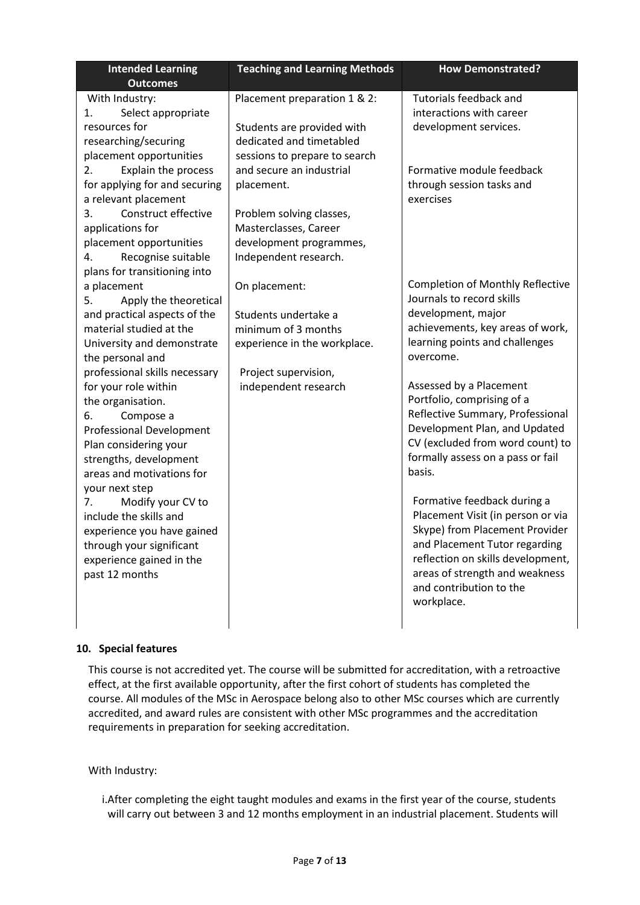| <b>Intended Learning</b>                                                                                                                                                                                                                                                                                                                                                                      | <b>Teaching and Learning Methods</b>                                                                                                                | <b>How Demonstrated?</b>                                                                                                                                                                                                                                                                                                                                                                       |
|-----------------------------------------------------------------------------------------------------------------------------------------------------------------------------------------------------------------------------------------------------------------------------------------------------------------------------------------------------------------------------------------------|-----------------------------------------------------------------------------------------------------------------------------------------------------|------------------------------------------------------------------------------------------------------------------------------------------------------------------------------------------------------------------------------------------------------------------------------------------------------------------------------------------------------------------------------------------------|
| <b>Outcomes</b>                                                                                                                                                                                                                                                                                                                                                                               |                                                                                                                                                     |                                                                                                                                                                                                                                                                                                                                                                                                |
| With Industry:<br>Select appropriate<br>1.<br>resources for<br>researching/securing<br>placement opportunities<br>Explain the process<br>2.                                                                                                                                                                                                                                                   | Placement preparation 1 & 2:<br>Students are provided with<br>dedicated and timetabled<br>sessions to prepare to search<br>and secure an industrial | <b>Tutorials feedback and</b><br>interactions with career<br>development services.<br>Formative module feedback                                                                                                                                                                                                                                                                                |
| for applying for and securing<br>a relevant placement<br>Construct effective<br>3.<br>applications for<br>placement opportunities<br>Recognise suitable<br>4.<br>plans for transitioning into                                                                                                                                                                                                 | placement.<br>Problem solving classes,<br>Masterclasses, Career<br>development programmes,<br>Independent research.                                 | through session tasks and<br>exercises                                                                                                                                                                                                                                                                                                                                                         |
| a placement<br>Apply the theoretical<br>5.<br>and practical aspects of the<br>material studied at the<br>University and demonstrate<br>the personal and<br>professional skills necessary<br>for your role within<br>the organisation.<br>Compose a<br>6.<br><b>Professional Development</b><br>Plan considering your<br>strengths, development<br>areas and motivations for<br>your next step | On placement:<br>Students undertake a<br>minimum of 3 months<br>experience in the workplace.<br>Project supervision,<br>independent research        | <b>Completion of Monthly Reflective</b><br>Journals to record skills<br>development, major<br>achievements, key areas of work,<br>learning points and challenges<br>overcome.<br>Assessed by a Placement<br>Portfolio, comprising of a<br>Reflective Summary, Professional<br>Development Plan, and Updated<br>CV (excluded from word count) to<br>formally assess on a pass or fail<br>basis. |
| 7.<br>Modify your CV to<br>include the skills and<br>experience you have gained<br>through your significant<br>experience gained in the<br>past 12 months                                                                                                                                                                                                                                     |                                                                                                                                                     | Formative feedback during a<br>Placement Visit (in person or via<br>Skype) from Placement Provider<br>and Placement Tutor regarding<br>reflection on skills development,<br>areas of strength and weakness<br>and contribution to the<br>workplace.                                                                                                                                            |

### **10. Special features**

This course is not accredited yet. The course will be submitted for accreditation, with a retroactive effect, at the first available opportunity, after the first cohort of students has completed the course. All modules of the MSc in Aerospace belong also to other MSc courses which are currently accredited, and award rules are consistent with other MSc programmes and the accreditation requirements in preparation for seeking accreditation.

### With Industry:

i.After completing the eight taught modules and exams in the first year of the course, students will carry out between 3 and 12 months employment in an industrial placement. Students will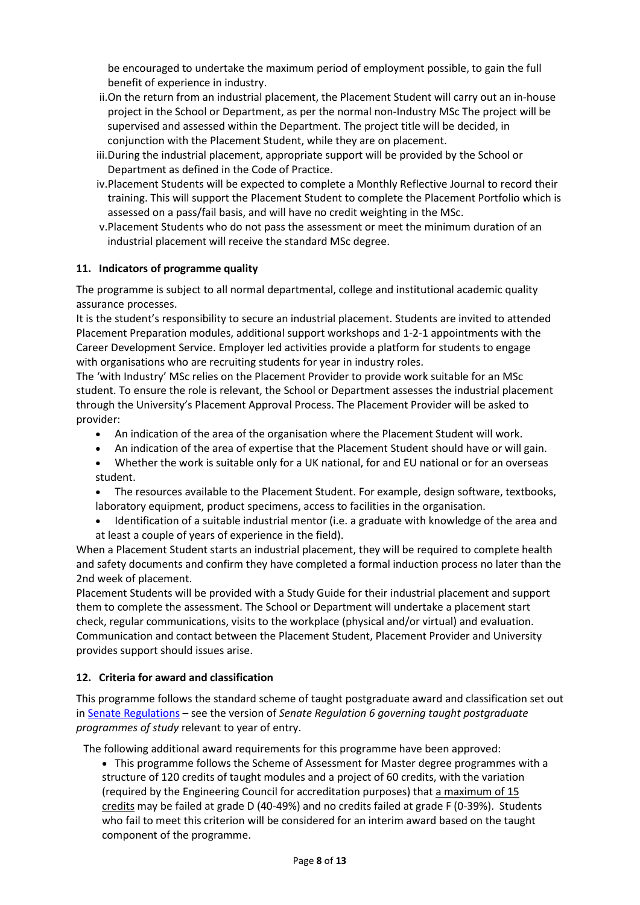be encouraged to undertake the maximum period of employment possible, to gain the full benefit of experience in industry.

- ii.On the return from an industrial placement, the Placement Student will carry out an in-house project in the School or Department, as per the normal non-Industry MSc The project will be supervised and assessed within the Department. The project title will be decided, in conjunction with the Placement Student, while they are on placement.
- iii.During the industrial placement, appropriate support will be provided by the School or Department as defined in the Code of Practice.
- iv.Placement Students will be expected to complete a Monthly Reflective Journal to record their training. This will support the Placement Student to complete the Placement Portfolio which is assessed on a pass/fail basis, and will have no credit weighting in the MSc.
- v.Placement Students who do not pass the assessment or meet the minimum duration of an industrial placement will receive the standard MSc degree.

## **11. Indicators of programme quality**

The programme is subject to all normal departmental, college and institutional academic quality assurance processes.

It is the student's responsibility to secure an industrial placement. Students are invited to attended Placement Preparation modules, additional support workshops and 1-2-1 appointments with the Career Development Service. Employer led activities provide a platform for students to engage with organisations who are recruiting students for year in industry roles.

The 'with Industry' MSc relies on the Placement Provider to provide work suitable for an MSc student. To ensure the role is relevant, the School or Department assesses the industrial placement through the University's Placement Approval Process. The Placement Provider will be asked to provider:

- An indication of the area of the organisation where the Placement Student will work.
- An indication of the area of expertise that the Placement Student should have or will gain.
- Whether the work is suitable only for a UK national, for and EU national or for an overseas student.
- The resources available to the Placement Student. For example, design software, textbooks, laboratory equipment, product specimens, access to facilities in the organisation.
- Identification of a suitable industrial mentor (i.e. a graduate with knowledge of the area and at least a couple of years of experience in the field).

When a Placement Student starts an industrial placement, they will be required to complete health and safety documents and confirm they have completed a formal induction process no later than the 2nd week of placement.

Placement Students will be provided with a Study Guide for their industrial placement and support them to complete the assessment. The School or Department will undertake a placement start check, regular communications, visits to the workplace (physical and/or virtual) and evaluation. Communication and contact between the Placement Student, Placement Provider and University provides support should issues arise.

## **12. Criteria for award and classification**

This programme follows the standard scheme of taught postgraduate award and classification set out i[n Senate Regulations](http://www.le.ac.uk/senate-regulations) – see the version of *Senate Regulation 6 governing taught postgraduate programmes of study* relevant to year of entry.

The following additional award requirements for this programme have been approved:

• This programme follows the Scheme of Assessment for Master degree programmes with a structure of 120 credits of taught modules and a project of 60 credits, with the variation (required by the Engineering Council for accreditation purposes) that a maximum of 15 credits may be failed at grade D (40-49%) and no credits failed at grade F (0-39%). Students who fail to meet this criterion will be considered for an interim award based on the taught component of the programme.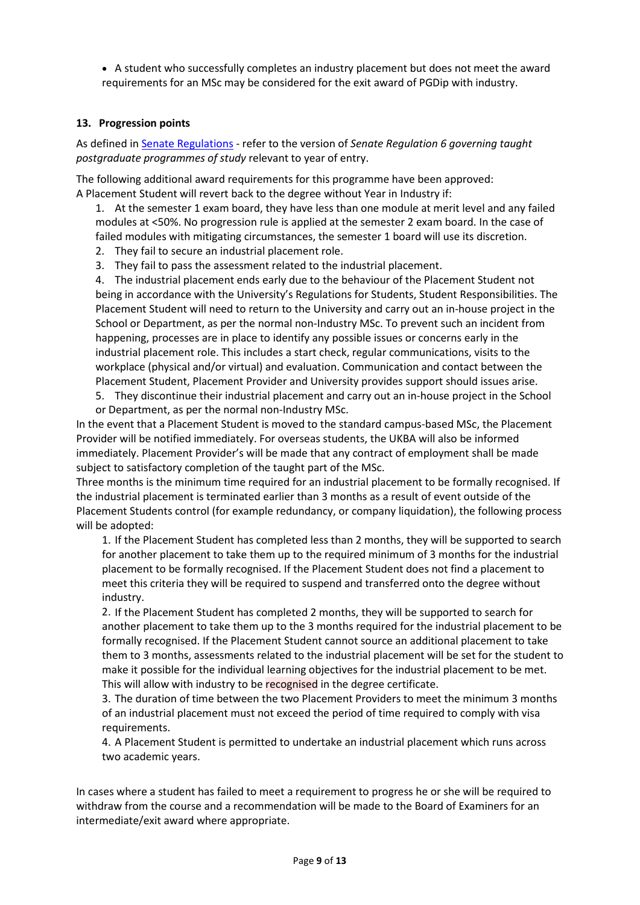• A student who successfully completes an industry placement but does not meet the award requirements for an MSc may be considered for the exit award of PGDip with industry.

## **13. Progression points**

As defined i[n Senate Regulations](http://www.le.ac.uk/senate-regulation6) - refer to the version of *Senate Regulation 6 governing taught postgraduate programmes of study* relevant to year of entry.

The following additional award requirements for this programme have been approved: A Placement Student will revert back to the degree without Year in Industry if:

1. At the semester 1 exam board, they have less than one module at merit level and any failed modules at <50%. No progression rule is applied at the semester 2 exam board. In the case of failed modules with mitigating circumstances, the semester 1 board will use its discretion.

2. They fail to secure an industrial placement role.

3. They fail to pass the assessment related to the industrial placement.

4. The industrial placement ends early due to the behaviour of the Placement Student not being in accordance with the University's Regulations for Students, Student Responsibilities. The Placement Student will need to return to the University and carry out an in-house project in the School or Department, as per the normal non-Industry MSc. To prevent such an incident from happening, processes are in place to identify any possible issues or concerns early in the industrial placement role. This includes a start check, regular communications, visits to the workplace (physical and/or virtual) and evaluation. Communication and contact between the Placement Student, Placement Provider and University provides support should issues arise.

5. They discontinue their industrial placement and carry out an in-house project in the School or Department, as per the normal non-Industry MSc.

In the event that a Placement Student is moved to the standard campus-based MSc, the Placement Provider will be notified immediately. For overseas students, the UKBA will also be informed immediately. Placement Provider's will be made that any contract of employment shall be made subject to satisfactory completion of the taught part of the MSc.

Three months is the minimum time required for an industrial placement to be formally recognised. If the industrial placement is terminated earlier than 3 months as a result of event outside of the Placement Students control (for example redundancy, or company liquidation), the following process will be adopted:

1. If the Placement Student has completed less than 2 months, they will be supported to search for another placement to take them up to the required minimum of 3 months for the industrial placement to be formally recognised. If the Placement Student does not find a placement to meet this criteria they will be required to suspend and transferred onto the degree without industry.

2. If the Placement Student has completed 2 months, they will be supported to search for another placement to take them up to the 3 months required for the industrial placement to be formally recognised. If the Placement Student cannot source an additional placement to take them to 3 months, assessments related to the industrial placement will be set for the student to make it possible for the individual learning objectives for the industrial placement to be met. This will allow with industry to be recognised in the degree certificate.

3. The duration of time between the two Placement Providers to meet the minimum 3 months of an industrial placement must not exceed the period of time required to comply with visa requirements.

4. A Placement Student is permitted to undertake an industrial placement which runs across two academic years.

In cases where a student has failed to meet a requirement to progress he or she will be required to withdraw from the course and a recommendation will be made to the Board of Examiners for an intermediate/exit award where appropriate.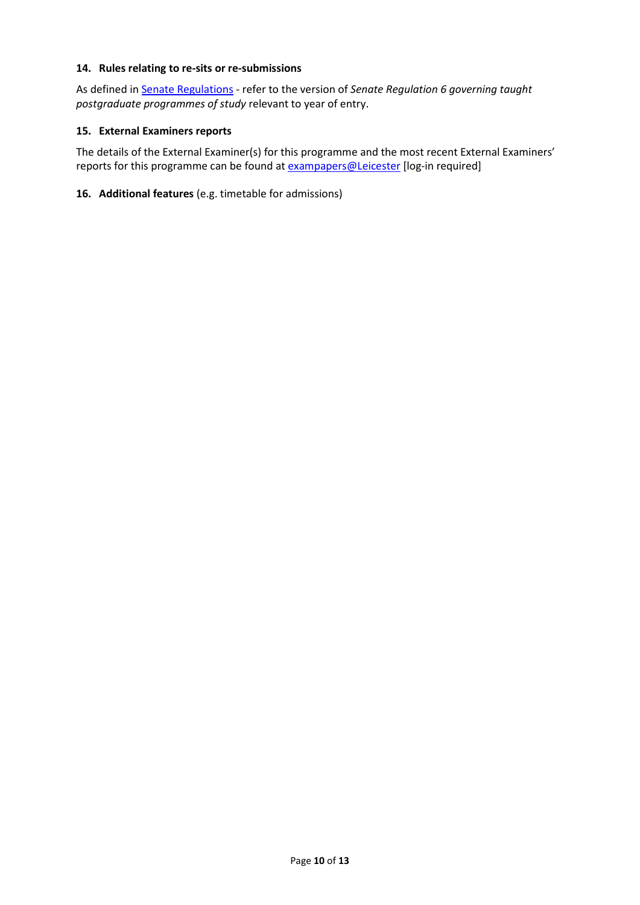### **14. Rules relating to re-sits or re-submissions**

As defined i[n Senate Regulations](http://www.le.ac.uk/senate-regulation6) - refer to the version of *Senate Regulation 6 governing taught postgraduate programmes of study* relevant to year of entry.

### **15. External Examiners reports**

The details of the External Examiner(s) for this programme and the most recent External Examiners' reports for this programme can be found at **exampapers@Leicester** [log-in required]

### **16. Additional features** (e.g. timetable for admissions)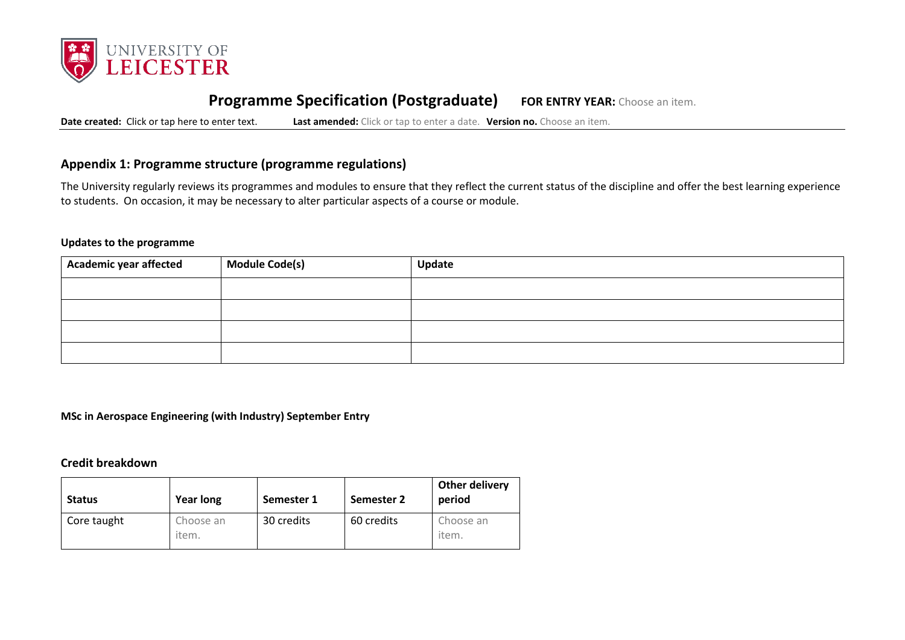

# **Programme Specification (Postgraduate) FOR ENTRY YEAR:** Choose an item.

**Date created:** Click or tap here to enter text. **Last amended:** Click or tap to enter a date. **Version no.** Choose an item.

## **Appendix 1: Programme structure (programme regulations)**

The University regularly reviews its programmes and modules to ensure that they reflect the current status of the discipline and offer the best learning experience to students. On occasion, it may be necessary to alter particular aspects of a course or module.

### **Updates to the programme**

| Academic year affected | Module Code(s) | Update |
|------------------------|----------------|--------|
|                        |                |        |
|                        |                |        |
|                        |                |        |
|                        |                |        |

**MSc in Aerospace Engineering (with Industry) September Entry**

### **Credit breakdown**

| <b>Status</b> | <b>Year long</b>   | Semester 1 | Semester 2 | Other delivery<br>period |
|---------------|--------------------|------------|------------|--------------------------|
| Core taught   | Choose an<br>item. | 30 credits | 60 credits | Choose an<br>item.       |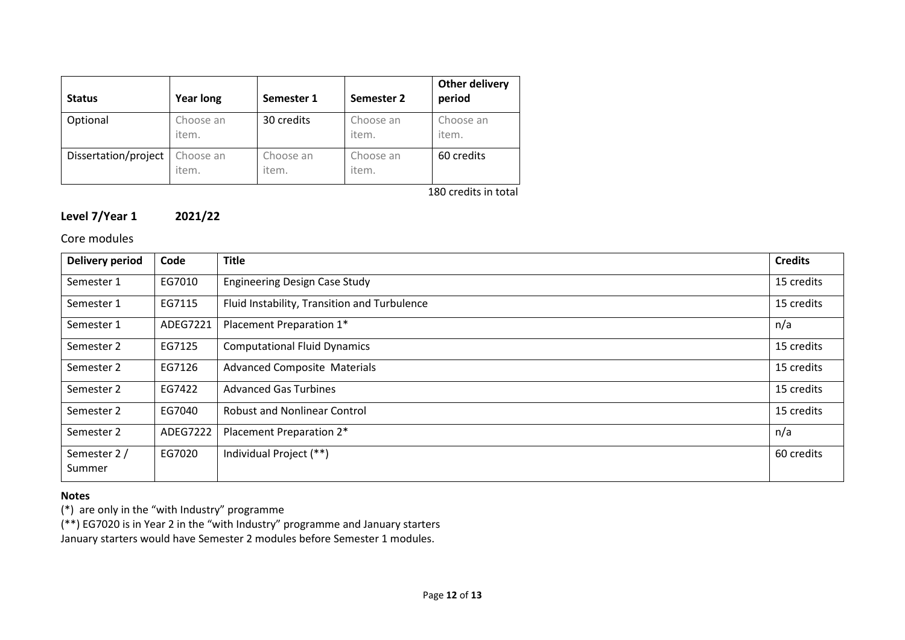| <b>Status</b>        | <b>Year long</b>   | Semester 1         | Semester 2         | Other delivery<br>period |
|----------------------|--------------------|--------------------|--------------------|--------------------------|
| Optional             | Choose an<br>item. | 30 credits         | Choose an<br>item. | Choose an<br>item.       |
| Dissertation/project | Choose an<br>item. | Choose an<br>item. | Choose an<br>item. | 60 credits               |

180 credits in total

# **Level 7/Year 1 2021/22**

Core modules

| Delivery period        | Code     | <b>Title</b>                                 |            |
|------------------------|----------|----------------------------------------------|------------|
| Semester 1             | EG7010   | <b>Engineering Design Case Study</b>         |            |
| Semester 1             | EG7115   | Fluid Instability, Transition and Turbulence | 15 credits |
| Semester 1             | ADEG7221 | Placement Preparation 1*                     | n/a        |
| Semester 2             | EG7125   | <b>Computational Fluid Dynamics</b>          | 15 credits |
| Semester 2             | EG7126   | <b>Advanced Composite Materials</b>          |            |
| Semester 2             | EG7422   | <b>Advanced Gas Turbines</b>                 |            |
| Semester 2             | EG7040   | <b>Robust and Nonlinear Control</b>          |            |
| Semester 2             | ADEG7222 | Placement Preparation 2*                     | n/a        |
| Semester 2 /<br>Summer | EG7020   | Individual Project (**)                      | 60 credits |

### **Notes**

(\*) are only in the "with Industry" programme

(\*\*) EG7020 is in Year 2 in the "with Industry" programme and January starters

January starters would have Semester 2 modules before Semester 1 modules.